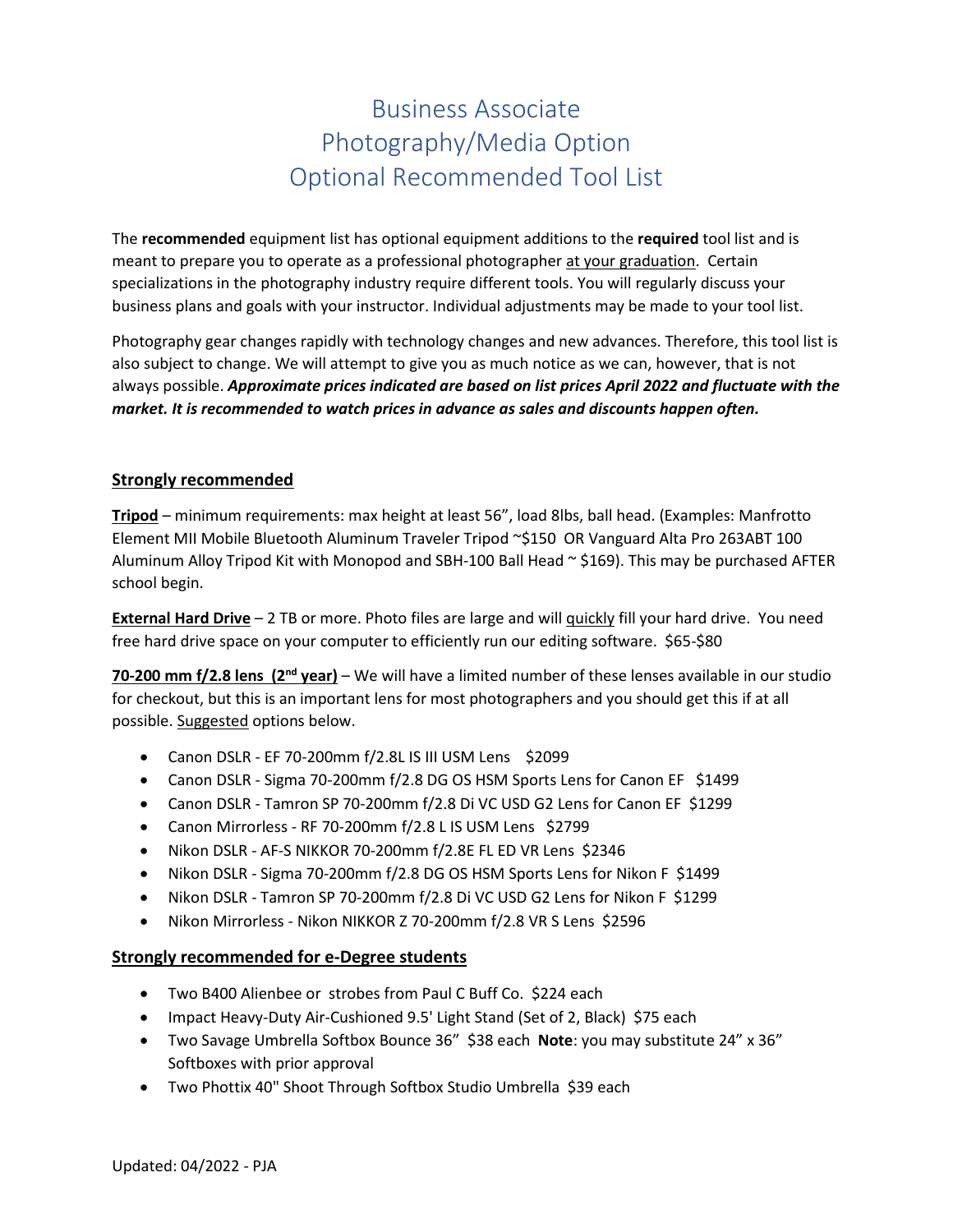## Business Associate Photography/Media Option Optional Recommended Tool List

The **recommended** equipment list has optional equipment additions to the **required** tool list and is meant to prepare you to operate as a professional photographer at your graduation. Certain specializations in the photography industry require different tools. You will regularly discuss your business plans and goals with your instructor. Individual adjustments may be made to your tool list.

Photography gear changes rapidly with technology changes and new advances. Therefore, this tool list is also subject to change. We will attempt to give you as much notice as we can, however, that is not always possible. *Approximate prices indicated are based on list prices April 2022 and fluctuate with the market. It is recommended to watch prices in advance as sales and discounts happen often.*

## **Strongly recommended**

**Tripod** – minimum requirements: max height at least 56", load 8lbs, ball head. (Examples: Manfrotto Element MII Mobile Bluetooth Aluminum Traveler Tripod ~\$150 OR Vanguard Alta Pro 263ABT 100 Aluminum Alloy Tripod Kit with Monopod and SBH-100 Ball Head  $\sim$  \$169). This may be purchased AFTER school begin.

**External Hard Drive** – 2 TB or more. Photo files are large and will quickly fill your hard drive. You need free hard drive space on your computer to efficiently run our editing software. \$65-\$80

**70-200 mm f/2.8 lens (2nd year)** – We will have a limited number of these lenses available in our studio for checkout, but this is an important lens for most photographers and you should get this if at all possible. Suggested options below.

- Canon DSLR EF 70-200mm f/2.8L IS III USM Lens \$2099
- Canon DSLR Sigma 70-200mm f/2.8 DG OS HSM Sports Lens for Canon EF \$1499
- Canon DSLR Tamron SP 70-200mm f/2.8 Di VC USD G2 Lens for Canon EF \$1299
- Canon Mirrorless RF 70-200mm f/2.8 L IS USM Lens \$2799
- Nikon DSLR AF-S NIKKOR 70-200mm f/2.8E FL ED VR Lens \$2346
- Nikon DSLR Sigma 70-200mm f/2.8 DG OS HSM Sports Lens for Nikon F \$1499
- Nikon DSLR Tamron SP 70-200mm f/2.8 Di VC USD G2 Lens for Nikon F \$1299
- Nikon Mirrorless Nikon NIKKOR Z 70-200mm f/2.8 VR S Lens \$2596

## **Strongly recommended for e-Degree students**

- Two B400 Alienbee or strobes from Paul C Buff Co. \$224 each
- Impact Heavy-Duty Air-Cushioned 9.5' Light Stand (Set of 2, Black) \$75 each
- Two Savage Umbrella Softbox Bounce 36" \$38 each **Note**: you may substitute 24" x 36" Softboxes with prior approval
- Two Phottix 40" Shoot Through Softbox Studio Umbrella \$39 each